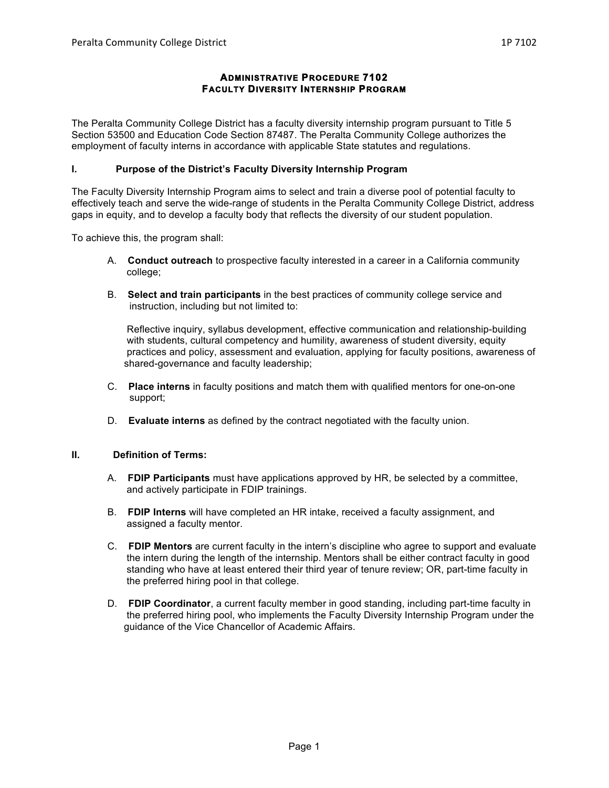# **ADMINISTRATIVE PROCEDURE 7102 FACULTY DIVERSITY INTERNSHIP PROGRAM**

The Peralta Community College District has a faculty diversity internship program pursuant to Title 5 Section 53500 and Education Code Section 87487. The Peralta Community College authorizes the employment of faculty interns in accordance with applicable State statutes and regulations.

## **I. Purpose of the District's Faculty Diversity Internship Program**

The Faculty Diversity Internship Program aims to select and train a diverse pool of potential faculty to effectively teach and serve the wide-range of students in the Peralta Community College District, address gaps in equity, and to develop a faculty body that reflects the diversity of our student population.

To achieve this, the program shall:

- A. **Conduct outreach** to prospective faculty interested in a career in a California community college;
- B. **Select and train participants** in the best practices of community college service and instruction, including but not limited to:

 Reflective inquiry, syllabus development, effective communication and relationship-building with students, cultural competency and humility, awareness of student diversity, equity practices and policy, assessment and evaluation, applying for faculty positions, awareness of shared-governance and faculty leadership;

- C. **Place interns** in faculty positions and match them with qualified mentors for one-on-one support;
- D. **Evaluate interns** as defined by the contract negotiated with the faculty union.

### **II. Definition of Terms:**

- A. **FDIP Participants** must have applications approved by HR, be selected by a committee, and actively participate in FDIP trainings.
- B. **FDIP Interns** will have completed an HR intake, received a faculty assignment, and assigned a faculty mentor.
- C. **FDIP Mentors** are current faculty in the intern's discipline who agree to support and evaluate the intern during the length of the internship. Mentors shall be either contract faculty in good standing who have at least entered their third year of tenure review; OR, part-time faculty in the preferred hiring pool in that college.
- D. **FDIP Coordinator**, a current faculty member in good standing, including part-time faculty in the preferred hiring pool, who implements the Faculty Diversity Internship Program under the guidance of the Vice Chancellor of Academic Affairs.